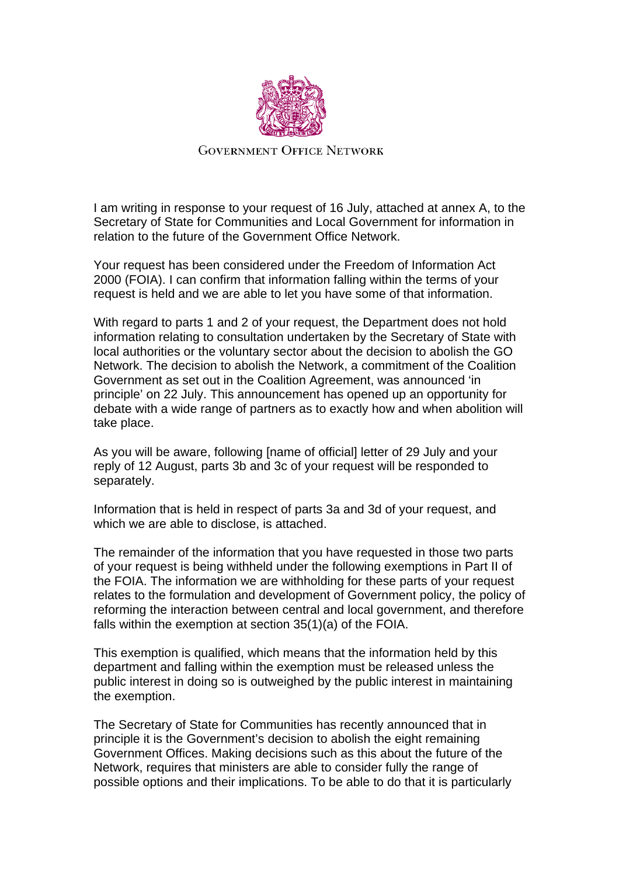

**GOVERNMENT OFFICE NETWORK** 

I am writing in response to your request of 16 July, attached at annex A, to the Secretary of State for Communities and Local Government for information in relation to the future of the Government Office Network.

Your request has been considered under the Freedom of Information Act 2000 (FOIA). I can confirm that information falling within the terms of your request is held and we are able to let you have some of that information.

With regard to parts 1 and 2 of your request, the Department does not hold information relating to consultation undertaken by the Secretary of State with local authorities or the voluntary sector about the decision to abolish the GO Network. The decision to abolish the Network, a commitment of the Coalition Government as set out in the Coalition Agreement, was announced 'in principle' on 22 July. This announcement has opened up an opportunity for debate with a wide range of partners as to exactly how and when abolition will take place.

As you will be aware, following [name of official] letter of 29 July and your reply of 12 August, parts 3b and 3c of your request will be responded to separately.

Information that is held in respect of parts 3a and 3d of your request, and which we are able to disclose, is attached.

The remainder of the information that you have requested in those two parts of your request is being withheld under the following exemptions in Part II of the FOIA. The information we are withholding for these parts of your request relates to the formulation and development of Government policy, the policy of reforming the interaction between central and local government, and therefore falls within the exemption at section 35(1)(a) of the FOIA.

This exemption is qualified, which means that the information held by this department and falling within the exemption must be released unless the public interest in doing so is outweighed by the public interest in maintaining the exemption.

The Secretary of State for Communities has recently announced that in principle it is the Government's decision to abolish the eight remaining Government Offices. Making decisions such as this about the future of the Network, requires that ministers are able to consider fully the range of possible options and their implications. To be able to do that it is particularly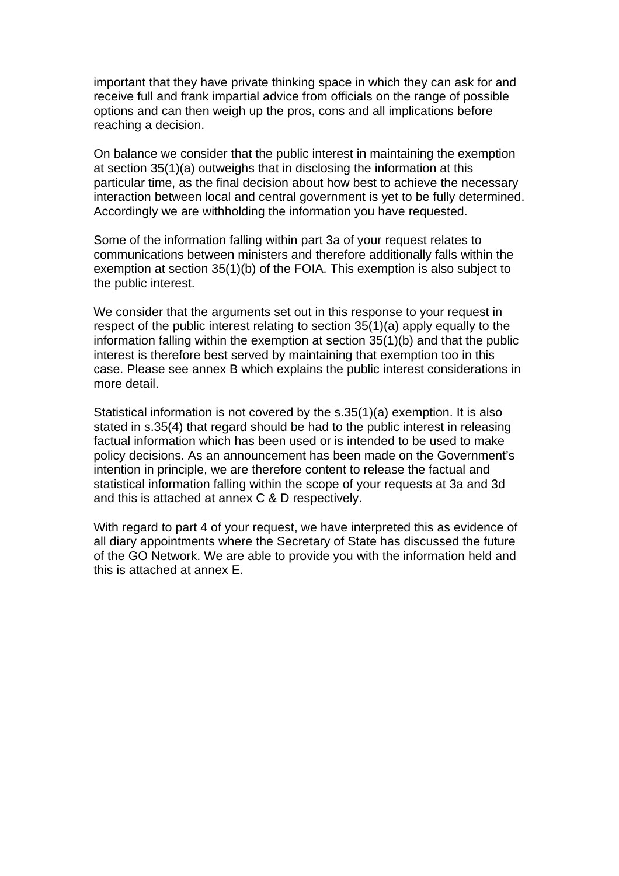important that they have private thinking space in which they can ask for and receive full and frank impartial advice from officials on the range of possible options and can then weigh up the pros, cons and all implications before reaching a decision.

On balance we consider that the public interest in maintaining the exemption at section 35(1)(a) outweighs that in disclosing the information at this particular time, as the final decision about how best to achieve the necessary interaction between local and central government is yet to be fully determined. Accordingly we are withholding the information you have requested.

Some of the information falling within part 3a of your request relates to communications between ministers and therefore additionally falls within the exemption at section 35(1)(b) of the FOIA. This exemption is also subject to the public interest.

We consider that the arguments set out in this response to your request in respect of the public interest relating to section 35(1)(a) apply equally to the information falling within the exemption at section 35(1)(b) and that the public interest is therefore best served by maintaining that exemption too in this case. Please see annex B which explains the public interest considerations in more detail.

Statistical information is not covered by the s.35(1)(a) exemption. It is also stated in s.35(4) that regard should be had to the public interest in releasing factual information which has been used or is intended to be used to make policy decisions. As an announcement has been made on the Government's intention in principle, we are therefore content to release the factual and statistical information falling within the scope of your requests at 3a and 3d and this is attached at annex C & D respectively.

With regard to part 4 of your request, we have interpreted this as evidence of all diary appointments where the Secretary of State has discussed the future of the GO Network. We are able to provide you with the information held and this is attached at annex E.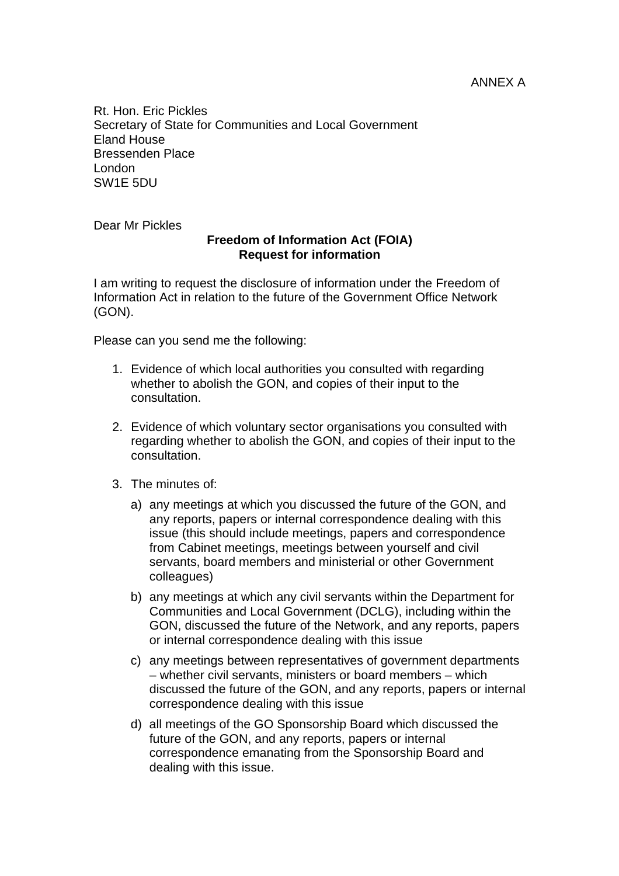Rt. Hon. Eric Pickles Secretary of State for Communities and Local Government Eland House Bressenden Place London SW1E 5DU

Dear Mr Pickles

## **Freedom of Information Act (FOIA) Request for information**

I am writing to request the disclosure of information under the Freedom of Information Act in relation to the future of the Government Office Network (GON).

Please can you send me the following:

- 1. Evidence of which local authorities you consulted with regarding whether to abolish the GON, and copies of their input to the consultation.
- 2. Evidence of which voluntary sector organisations you consulted with regarding whether to abolish the GON, and copies of their input to the consultation.
- 3. The minutes of:
	- a) any meetings at which you discussed the future of the GON, and any reports, papers or internal correspondence dealing with this issue (this should include meetings, papers and correspondence from Cabinet meetings, meetings between yourself and civil servants, board members and ministerial or other Government colleagues)
	- b) any meetings at which any civil servants within the Department for Communities and Local Government (DCLG), including within the GON, discussed the future of the Network, and any reports, papers or internal correspondence dealing with this issue
	- c) any meetings between representatives of government departments – whether civil servants, ministers or board members – which discussed the future of the GON, and any reports, papers or internal correspondence dealing with this issue
	- d) all meetings of the GO Sponsorship Board which discussed the future of the GON, and any reports, papers or internal correspondence emanating from the Sponsorship Board and dealing with this issue.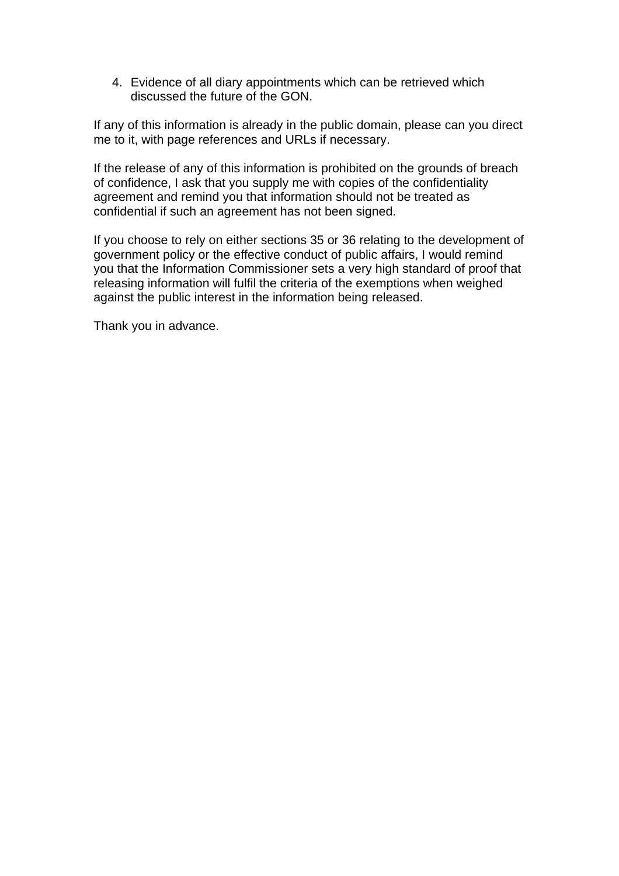4. Evidence of all diary appointments which can be retrieved which discussed the future of the GON.

If any of this information is already in the public domain, please can you direct me to it, with page references and URLs if necessary.

If the release of any of this information is prohibited on the grounds of breach of confidence, I ask that you supply me with copies of the confidentiality agreement and remind you that information should not be treated as confidential if such an agreement has not been signed.

If you choose to rely on either sections 35 or 36 relating to the development of government policy or the effective conduct of public affairs, I would remind you that the Information Commissioner sets a very high standard of proof that releasing information will fulfil the criteria of the exemptions when weighed against the public interest in the information being released.

Thank you in advance.